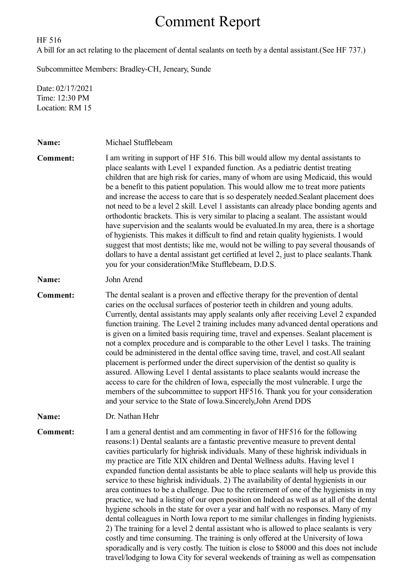## Comment Report

HF 516

A bill for an act relating to the placement of dental sealants on teeth by a dental assistant.(See HF 737.)

Subcommittee Members: Bradley-CH, Jeneary, Sunde

Date: 02/17/2021 Time: 12:30 PM Location: RM 15

| Name:           | Michael Stufflebeam                                                                                                                                                                                                                                                                                                                                                                                                                                                                                                                                                                                                                                                                                                                                                                                                                                                                                                                                                                                                                                                                                                                                                                 |
|-----------------|-------------------------------------------------------------------------------------------------------------------------------------------------------------------------------------------------------------------------------------------------------------------------------------------------------------------------------------------------------------------------------------------------------------------------------------------------------------------------------------------------------------------------------------------------------------------------------------------------------------------------------------------------------------------------------------------------------------------------------------------------------------------------------------------------------------------------------------------------------------------------------------------------------------------------------------------------------------------------------------------------------------------------------------------------------------------------------------------------------------------------------------------------------------------------------------|
| <b>Comment:</b> | I am writing in support of HF 516. This bill would allow my dental assistants to<br>place sealants with Level 1 expanded function. As a pediatric dentist treating<br>children that are high risk for caries, many of whom are using Medicaid, this would<br>be a benefit to this patient population. This would allow me to treat more patients<br>and increase the access to care that is so desperately needed. Sealant placement does<br>not need to be a level 2 skill. Level 1 assistants can already place bonding agents and<br>orthodontic brackets. This is very similar to placing a sealant. The assistant would<br>have supervision and the sealants would be evaluated. In my area, there is a shortage<br>of hygienists. This makes it difficult to find and retain quality hygienists. I would<br>suggest that most dentists; like me, would not be willing to pay several thousands of<br>dollars to have a dental assistant get certified at level 2, just to place sealants. Thank<br>you for your consideration! Mike Stufflebeam, D.D.S.                                                                                                                       |
| Name:           | John Arend                                                                                                                                                                                                                                                                                                                                                                                                                                                                                                                                                                                                                                                                                                                                                                                                                                                                                                                                                                                                                                                                                                                                                                          |
| <b>Comment:</b> | The dental sealant is a proven and effective therapy for the prevention of dental<br>caries on the occlusal surfaces of posterior teeth in children and young adults.<br>Currently, dental assistants may apply sealants only after receiving Level 2 expanded<br>function training. The Level 2 training includes many advanced dental operations and<br>is given on a limited basis requiring time, travel and expenses. Sealant placement is<br>not a complex procedure and is comparable to the other Level 1 tasks. The training<br>could be administered in the dental office saving time, travel, and cost. All sealant<br>placement is performed under the direct supervision of the dentist so quality is<br>assured. Allowing Level 1 dental assistants to place sealants would increase the<br>access to care for the children of Iowa, especially the most vulnerable. I urge the<br>members of the subcommittee to support HF516. Thank you for your consideration<br>and your service to the State of Iowa.Sincerely, John Arend DDS                                                                                                                                  |
| Name:           | Dr. Nathan Hehr                                                                                                                                                                                                                                                                                                                                                                                                                                                                                                                                                                                                                                                                                                                                                                                                                                                                                                                                                                                                                                                                                                                                                                     |
| <b>Comment:</b> | I am a general dentist and am commenting in favor of HF516 for the following<br>reasons:1) Dental sealants are a fantastic preventive measure to prevent dental<br>cavities particularly for highrisk individuals. Many of these highrisk individuals in<br>my practice are Title XIX children and Dental Wellness adults. Having level 1<br>expanded function dental assistants be able to place sealants will help us provide this<br>service to these highrisk individuals. 2) The availability of dental hygienists in our<br>area continues to be a challenge. Due to the retirement of one of the hygienists in my<br>practice, we had a listing of our open position on Indeed as well as at all of the dental<br>hygiene schools in the state for over a year and half with no responses. Many of my<br>dental colleagues in North Iowa report to me similar challenges in finding hygienists.<br>2) The training for a level 2 dental assistant who is allowed to place sealants is very<br>costly and time consuming. The training is only offered at the University of Iowa<br>sporadically and is very costly. The tuition is close to \$8000 and this does not include |

travel/lodging to Iowa City for several weekends of training as well as compensation